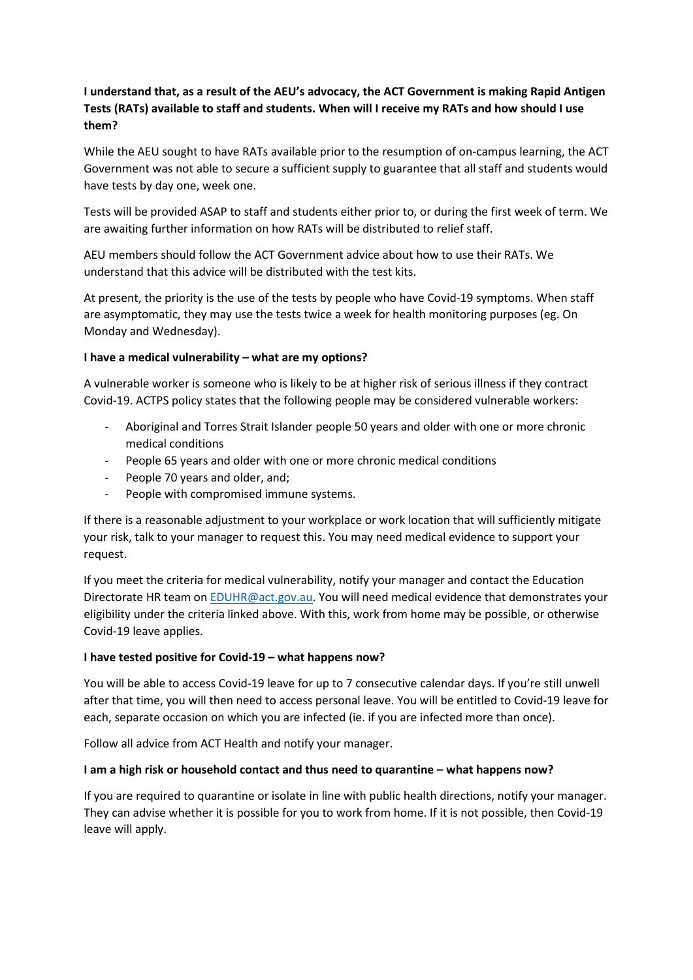# **I understand that, as a result of the AEU's advocacy, the ACT Government is making Rapid Antigen Tests (RATs) available to staff and students. When will I receive my RATs and how should I use them?**

While the AEU sought to have RATs available prior to the resumption of on-campus learning, the ACT Government was not able to secure a sufficient supply to guarantee that all staff and students would have tests by day one, week one.

Tests will be provided ASAP to staff and students either prior to, or during the first week of term. We are awaiting further information on how RATs will be distributed to relief staff.

AEU members should follow the ACT Government advice about how to use their RATs. We understand that this advice will be distributed with the test kits.

At present, the priority is the use of the tests by people who have Covid-19 symptoms. When staff are asymptomatic, they may use the tests twice a week for health monitoring purposes (eg. On Monday and Wednesday).

## **I have a medical vulnerability – what are my options?**

A vulnerable worker is someone who is likely to be at higher risk of serious illness if they contract Covid-19. ACTPS policy states that the following people may be considered vulnerable workers:

- Aboriginal and Torres Strait Islander people 50 years and older with one or more chronic medical conditions
- People 65 years and older with one or more chronic medical conditions
- People 70 years and older, and;
- People with compromised immune systems.

If there is a reasonable adjustment to your workplace or work location that will sufficiently mitigate your risk, talk to your manager to request this. You may need medical evidence to support your request.

If you meet the criteria for medical vulnerability, notify your manager and contact the Education Directorate HR team o[n EDUHR@act.gov.au.](mailto:EDUHR@act.gov.au) You will need medical evidence that demonstrates your eligibility under the criteria linked above. With this, work from home may be possible, or otherwise Covid-19 leave applies.

### **I have tested positive for Covid-19 – what happens now?**

You will be able to access Covid-19 leave for up to 7 consecutive calendar days. If you're still unwell after that time, you will then need to access personal leave. You will be entitled to Covid-19 leave for each, separate occasion on which you are infected (ie. if you are infected more than once).

Follow all advice from ACT Health and notify your manager.

### **I am a high risk or household contact and thus need to quarantine – what happens now?**

If you are required to quarantine or isolate in line with public health directions, notify your manager. They can advise whether it is possible for you to work from home. If it is not possible, then Covid-19 leave will apply.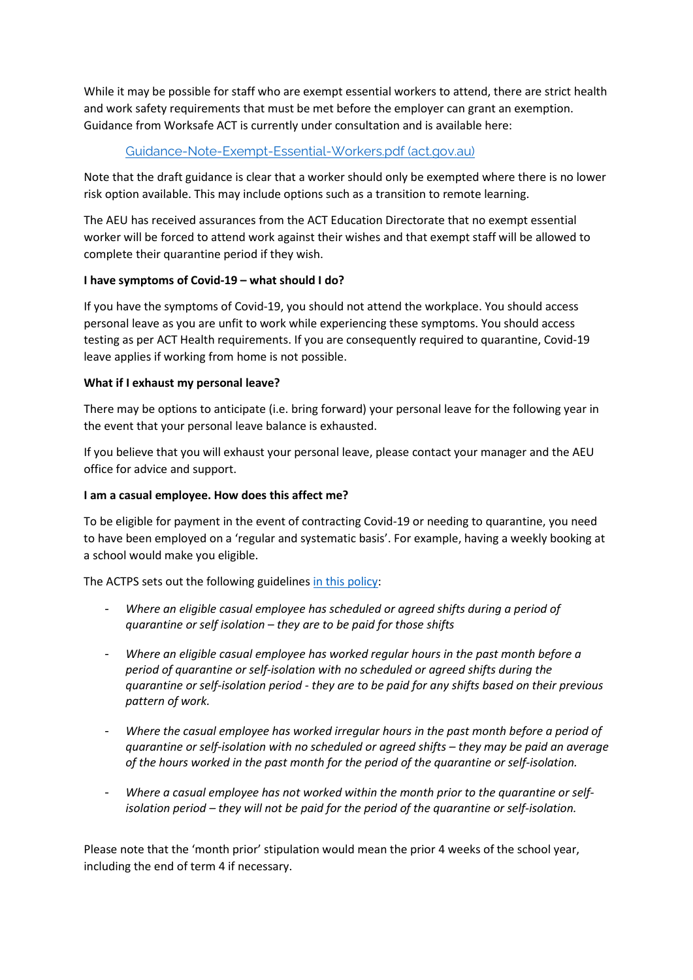While it may be possible for staff who are exempt essential workers to attend, there are strict health and work safety requirements that must be met before the employer can grant an exemption. Guidance from Worksafe ACT is currently under consultation and is available here:

# [Guidance-Note-Exempt-Essential-Workers.pdf \(act.gov.au\)](https://www.worksafe.act.gov.au/__data/assets/pdf_file/0006/1940631/Guidance-Note-Exempt-Essential-Workers.pdf)

Note that the draft guidance is clear that a worker should only be exempted where there is no lower risk option available. This may include options such as a transition to remote learning.

The AEU has received assurances from the ACT Education Directorate that no exempt essential worker will be forced to attend work against their wishes and that exempt staff will be allowed to complete their quarantine period if they wish.

# **I have symptoms of Covid-19 – what should I do?**

If you have the symptoms of Covid-19, you should not attend the workplace. You should access personal leave as you are unfit to work while experiencing these symptoms. You should access testing as per ACT Health requirements. If you are consequently required to quarantine, Covid-19 leave applies if working from home is not possible.

## **What if I exhaust my personal leave?**

There may be options to anticipate (i.e. bring forward) your personal leave for the following year in the event that your personal leave balance is exhausted.

If you believe that you will exhaust your personal leave, please contact your manager and the AEU office for advice and support.

### **I am a casual employee. How does this affect me?**

To be eligible for payment in the event of contracting Covid-19 or needing to quarantine, you need to have been employed on a 'regular and systematic basis'. For example, having a weekly booking at a school would make you eligible.

The ACTPS sets out the following guidelines [in this policy:](https://www.cmtedd.act.gov.au/employment-framework/novel-coronavirus-covid-19-advice-for-actps-employees-and-managers/leave-and-staff-entitlements)

- *Where an eligible casual employee has scheduled or agreed shifts during a period of quarantine or self isolation – they are to be paid for those shifts*
- *Where an eligible casual employee has worked regular hours in the past month before a period of quarantine or self-isolation with no scheduled or agreed shifts during the quarantine or self-isolation period - they are to be paid for any shifts based on their previous pattern of work.*
- *Where the casual employee has worked irregular hours in the past month before a period of quarantine or self-isolation with no scheduled or agreed shifts – they may be paid an average of the hours worked in the past month for the period of the quarantine or self-isolation.*
- *Where a casual employee has not worked within the month prior to the quarantine or selfisolation period – they will not be paid for the period of the quarantine or self-isolation.*

Please note that the 'month prior' stipulation would mean the prior 4 weeks of the school year, including the end of term 4 if necessary.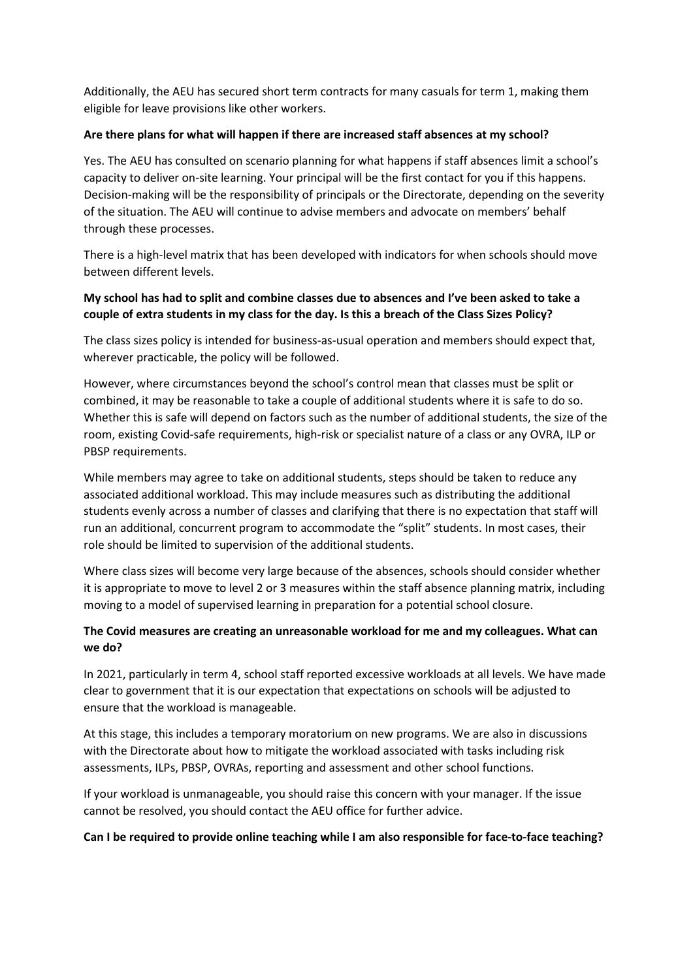Additionally, the AEU has secured short term contracts for many casuals for term 1, making them eligible for leave provisions like other workers.

## **Are there plans for what will happen if there are increased staff absences at my school?**

Yes. The AEU has consulted on scenario planning for what happens if staff absences limit a school's capacity to deliver on-site learning. Your principal will be the first contact for you if this happens. Decision-making will be the responsibility of principals or the Directorate, depending on the severity of the situation. The AEU will continue to advise members and advocate on members' behalf through these processes.

There is a high-level matrix that has been developed with indicators for when schools should move between different levels.

# **My school has had to split and combine classes due to absences and I've been asked to take a couple of extra students in my class for the day. Is this a breach of the Class Sizes Policy?**

The class sizes policy is intended for business-as-usual operation and members should expect that, wherever practicable, the policy will be followed.

However, where circumstances beyond the school's control mean that classes must be split or combined, it may be reasonable to take a couple of additional students where it is safe to do so. Whether this is safe will depend on factors such as the number of additional students, the size of the room, existing Covid-safe requirements, high-risk or specialist nature of a class or any OVRA, ILP or PBSP requirements.

While members may agree to take on additional students, steps should be taken to reduce any associated additional workload. This may include measures such as distributing the additional students evenly across a number of classes and clarifying that there is no expectation that staff will run an additional, concurrent program to accommodate the "split" students. In most cases, their role should be limited to supervision of the additional students.

Where class sizes will become very large because of the absences, schools should consider whether it is appropriate to move to level 2 or 3 measures within the staff absence planning matrix, including moving to a model of supervised learning in preparation for a potential school closure.

# **The Covid measures are creating an unreasonable workload for me and my colleagues. What can we do?**

In 2021, particularly in term 4, school staff reported excessive workloads at all levels. We have made clear to government that it is our expectation that expectations on schools will be adjusted to ensure that the workload is manageable.

At this stage, this includes a temporary moratorium on new programs. We are also in discussions with the Directorate about how to mitigate the workload associated with tasks including risk assessments, ILPs, PBSP, OVRAs, reporting and assessment and other school functions.

If your workload is unmanageable, you should raise this concern with your manager. If the issue cannot be resolved, you should contact the AEU office for further advice.

### **Can I be required to provide online teaching while I am also responsible for face-to-face teaching?**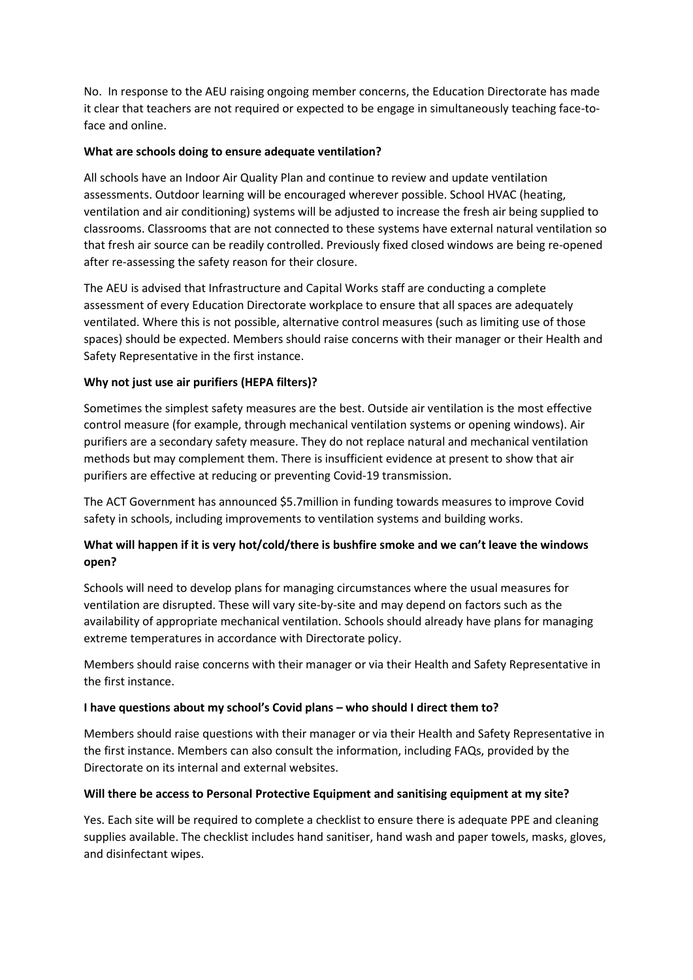No. In response to the AEU raising ongoing member concerns, the Education Directorate has made it clear that teachers are not required or expected to be engage in simultaneously teaching face-toface and online.

## **What are schools doing to ensure adequate ventilation?**

All schools have an Indoor Air Quality Plan and continue to review and update ventilation assessments. Outdoor learning will be encouraged wherever possible. School HVAC (heating, ventilation and air conditioning) systems will be adjusted to increase the fresh air being supplied to classrooms. Classrooms that are not connected to these systems have external natural ventilation so that fresh air source can be readily controlled. Previously fixed closed windows are being re-opened after re-assessing the safety reason for their closure.

The AEU is advised that Infrastructure and Capital Works staff are conducting a complete assessment of every Education Directorate workplace to ensure that all spaces are adequately ventilated. Where this is not possible, alternative control measures (such as limiting use of those spaces) should be expected. Members should raise concerns with their manager or their Health and Safety Representative in the first instance.

# **Why not just use air purifiers (HEPA filters)?**

Sometimes the simplest safety measures are the best. Outside air ventilation is the most effective control measure (for example, through mechanical ventilation systems or opening windows). Air purifiers are a secondary safety measure. They do not replace natural and mechanical ventilation methods but may complement them. There is insufficient evidence at present to show that air purifiers are effective at reducing or preventing Covid-19 transmission.

The ACT Government has announced \$5.7million in funding towards measures to improve Covid safety in schools, including improvements to ventilation systems and building works.

# **What will happen if it is very hot/cold/there is bushfire smoke and we can't leave the windows open?**

Schools will need to develop plans for managing circumstances where the usual measures for ventilation are disrupted. These will vary site-by-site and may depend on factors such as the availability of appropriate mechanical ventilation. Schools should already have plans for managing extreme temperatures in accordance with Directorate policy.

Members should raise concerns with their manager or via their Health and Safety Representative in the first instance.

### **I have questions about my school's Covid plans – who should I direct them to?**

Members should raise questions with their manager or via their Health and Safety Representative in the first instance. Members can also consult the information, including FAQs, provided by the Directorate on its internal and external websites.

### **Will there be access to Personal Protective Equipment and sanitising equipment at my site?**

Yes. Each site will be required to complete a checklist to ensure there is adequate PPE and cleaning supplies available. The checklist includes hand sanitiser, hand wash and paper towels, masks, gloves, and disinfectant wipes.